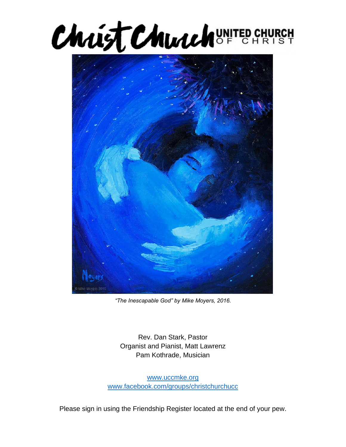



*"The Inescapable God" by Mike Moyers, 2016.*

Rev. Dan Stark, Pastor Organist and Pianist, Matt Lawrenz Pam Kothrade, Musician

[www.uccmke.org](http://www.uccmke.org/) [www.facebook.com/groups/christchurchucc](http://www.facebook.com/groups/christchurchucc)

Please sign in using the Friendship Register located at the end of your pew.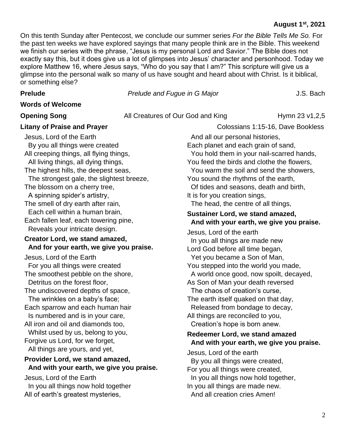# **August 1st , 2021**

On this tenth Sunday after Pentecost, we conclude our summer series *For the Bible Tells Me So.* For the past ten weeks we have explored sayings that many people think are in the Bible. This weekend we finish our series with the phrase, "Jesus is my personal Lord and Savior." The Bible does not exactly say this, but it does give us a lot of glimpses into Jesus' character and personhood. Today we explore Matthew 16, where Jesus says, "Who do you say that I am?" This scripture will give us a glimpse into the personal walk so many of us have sought and heard about with Christ. Is it biblical, or something else?

**Prelude** *Prelude and Fugue in G Major Prelude J.S. Bach* 

#### **Words of Welcome**

**Opening Song** All Creatures of Our God and King Hymn 23 v1,2,5

**Litany of Praise and Prayer**  Colossians 1:15-16, Dave Bookless

Jesus, Lord of the Earth By you all things were created All creeping things, all flying things, All living things, all dying things, The highest hills, the deepest seas, The strongest gale, the slightest breeze, The blossom on a cherry tree, A spinning spider's artistry, The smell of dry earth after rain, Each cell within a human brain, Each fallen leaf, each towering pine, Reveals your intricate design. **Creator Lord, we stand amazed, And for your earth, we give you praise.** Jesus, Lord of the Earth For you all things were created The smoothest pebble on the shore, Detritus on the forest floor, The undiscovered depths of space, The wrinkles on a baby's face; Each sparrow and each human hair Is numbered and is in your care, All iron and oil and diamonds too, Whilst used by us, belong to you, Forgive us Lord, for we forget, All things are yours, and yet, **Provider Lord, we stand amazed, And with your earth, we give you praise.** Jesus, Lord of the Earth In you all things now hold together All of earth's greatest mysteries,

 And all our personal histories, Each planet and each grain of sand, You hold them in your nail-scarred hands, You feed the birds and clothe the flowers, You warm the soil and send the showers, You sound the rhythms of the earth, Of tides and seasons, death and birth, It is for you creation sings, The head, the centre of all things, **Sustainer Lord, we stand amazed, And with your earth, we give you praise.** Jesus, Lord of the earth In you all things are made new Lord God before all time began, Yet you became a Son of Man, You stepped into the world you made, A world once good, now spoilt, decayed, As Son of Man your death reversed The chaos of creation's curse, The earth itself quaked on that day, Released from bondage to decay, All things are reconciled to you, Creation's hope is born anew. **Redeemer Lord, we stand amazed And with your earth, we give you praise.** Jesus, Lord of the earth By you all things were created, For you all things were created, In you all things now hold together, In you all things are made new.

And all creation cries Amen!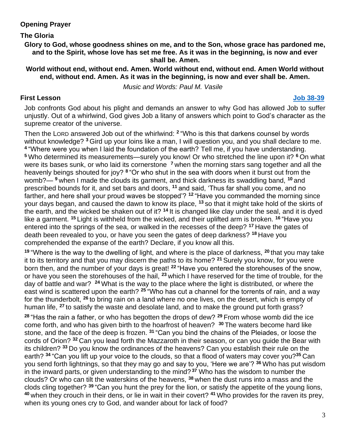# **Opening Prayer**

# **The Gloria**

**Glory to God, whose goodness shines on me, and to the Son, whose grace has pardoned me, and to the Spirit, whose love has set me free. As it was in the beginning, is now and ever shall be. Amen.**

**World without end, without end. Amen. World without end, without end. Amen World without end, without end. Amen. As it was in the beginning, is now and ever shall be. Amen.**

*Music and Words: Paul M. Vasile*

# **First Lesson [Job 38-39](https://www.biblegateway.com/passage/?search=Job+38-39&version=NRSV)**

Job confronts God about his plight and demands an answer to why God has allowed Job to suffer unjustly. Out of a whirlwind, God gives Job a litany of answers which point to God's character as the supreme creator of the universe.

Then the LORD answered Job out of the whirlwind: **<sup>2</sup>** "Who is this that darkens counsel by words without knowledge? **<sup>3</sup>** Gird up your loins like a man, I will question you, and you shall declare to me. **4** "Where were you when I laid the foundation of the earth? Tell me, if you have understanding. **<sup>5</sup>** Who determined its measurements—surely you know! Or who stretched the line upon it? **<sup>6</sup>** On what were its bases sunk, or who laid its cornerstone <sup>7</sup> when the morning stars sang together and all the heavenly beings shouted for joy? **<sup>8</sup>** "Or who shut in the sea with doors when it burst out from the womb?— **<sup>9</sup>** when I made the clouds its garment, and thick darkness its swaddling band, **<sup>10</sup>** and prescribed bounds for it, and set bars and doors, **<sup>11</sup>** and said, 'Thus far shall you come, and no farther, and here shall your proud waves be stopped'? **<sup>12</sup>** "Have you commanded the morning since your days began, and caused the dawn to know its place, **<sup>13</sup>** so that it might take hold of the skirts of the earth, and the wicked be shaken out of it? **<sup>14</sup>** It is changed like clay under the seal, and it is dyed like a garment. **<sup>15</sup>** Light is withheld from the wicked, and their uplifted arm is broken. **<sup>16</sup>** "Have you entered into the springs of the sea, or walked in the recesses of the deep? **<sup>17</sup>** Have the gates of death been revealed to you, or have you seen the gates of deep darkness? **<sup>18</sup>** Have you comprehended the expanse of the earth? Declare, if you know all this.

**<sup>19</sup>** "Where is the way to the dwelling of light, and where is the place of darkness, **<sup>20</sup>** that you may take it to its territory and that you may discern the paths to its home? **<sup>21</sup>** Surely you know, for you were born then, and the number of your days is great! **<sup>22</sup>** "Have you entered the storehouses of the snow, or have you seen the storehouses of the hail, **<sup>23</sup>** which I have reserved for the time of trouble, for the day of battle and war? **<sup>24</sup>** What is the way to the place where the light is distributed, or where the east wind is scattered upon the earth? **<sup>25</sup>** "Who has cut a channel for the torrents of rain, and a way for the thunderbolt, **<sup>26</sup>** to bring rain on a land where no one lives, on the desert, which is empty of human life, **<sup>27</sup>** to satisfy the waste and desolate land, and to make the ground put forth grass?

**<sup>28</sup>** "Has the rain a father, or who has begotten the drops of dew? **<sup>29</sup>** From whose womb did the ice come forth, and who has given birth to the hoarfrost of heaven? **<sup>30</sup>** The waters become hard like stone, and the face of the deep is frozen. **<sup>31</sup>** "Can you bind the chains of the Pleiades, or loose the cords of Orion? **<sup>32</sup>** Can you lead forth the Mazzaroth in their season, or can you guide the Bear with its children? **<sup>33</sup>** Do you know the ordinances of the heavens? Can you establish their rule on the earth? **<sup>34</sup>** "Can you lift up your voice to the clouds, so that a flood of waters may cover you?**<sup>35</sup>** Can you send forth lightnings, so that they may go and say to you, 'Here we are'? **<sup>36</sup>** Who has put wisdom in the inward parts, or given understanding to the mind? **<sup>37</sup>** Who has the wisdom to number the clouds? Or who can tilt the waterskins of the heavens, **<sup>38</sup>** when the dust runs into a mass and the clods cling together? **<sup>39</sup>** "Can you hunt the prey for the lion, or satisfy the appetite of the young lions, **<sup>40</sup>** when they crouch in their dens, or lie in wait in their covert? **<sup>41</sup>** Who provides for the raven its prey, when its young ones cry to God, and wander about for lack of food?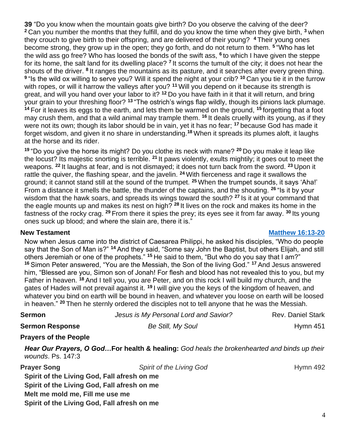**39** "Do you know when the mountain goats give birth? Do you observe the calving of the deer? **<sup>2</sup>** Can you number the months that they fulfill, and do you know the time when they give birth, **<sup>3</sup>** when they crouch to give birth to their offspring, and are delivered of their young? **<sup>4</sup>** Their young ones become strong, they grow up in the open; they go forth, and do not return to them. **<sup>5</sup>** "Who has let the wild ass go free? Who has loosed the bonds of the swift ass, **<sup>6</sup>** to which I have given the steppe for its home, the salt land for its dwelling place? **<sup>7</sup>** It scorns the tumult of the city; it does not hear the shouts of the driver. <sup>8</sup> It ranges the mountains as its pasture, and it searches after every green thing. **9** "Is the wild ox willing to serve you? Will it spend the night at your crib? **<sup>10</sup>** Can you tie it in the furrow with ropes, or will it harrow the valleys after you? **<sup>11</sup>** Will you depend on it because its strength is great, and will you hand over your labor to it? **<sup>12</sup>** Do you have faith in it that it will return, and bring your grain to your threshing floor? **<sup>13</sup>** "The ostrich's wings flap wildly, though its pinions lack plumage. **<sup>14</sup>** For it leaves its eggs to the earth, and lets them be warmed on the ground, **<sup>15</sup>** forgetting that a foot may crush them, and that a wild animal may trample them. **<sup>16</sup>** It deals cruelly with its young, as if they were not its own; though its labor should be in vain, yet it has no fear; **<sup>17</sup>** because God has made it forget wisdom, and given it no share in understanding.**<sup>18</sup>** When it spreads its plumes aloft, it laughs at the horse and its rider.

**<sup>19</sup>** "Do you give the horse its might? Do you clothe its neck with mane? **<sup>20</sup>** Do you make it leap like the locust? Its majestic snorting is terrible. **<sup>21</sup>** It paws violently, exults mightily; it goes out to meet the weapons. **<sup>22</sup>** It laughs at fear, and is not dismayed; it does not turn back from the sword. **<sup>23</sup>** Upon it rattle the quiver, the flashing spear, and the javelin. **<sup>24</sup>** With fierceness and rage it swallows the ground; it cannot stand still at the sound of the trumpet. **<sup>25</sup>** When the trumpet sounds, it says 'Aha!' From a distance it smells the battle, the thunder of the captains, and the shouting. **<sup>26</sup>** "Is it by your wisdom that the hawk soars, and spreads its wings toward the south? **<sup>27</sup>** Is it at your command that the eagle mounts up and makes its nest on high? **<sup>28</sup>** It lives on the rock and makes its home in the fastness of the rocky crag. **<sup>29</sup>** From there it spies the prey; its eyes see it from far away. **<sup>30</sup>** Its young ones suck up blood; and where the slain are, there it is."

**Melt me mold me, Fill me use me**

**Spirit of the Living God, Fall afresh on me**

### **New Testament [Matthew 16:13-20](https://www.biblegateway.com/passage/?search=Matthew+16%3A13-20&version=NRSV)**

Now when Jesus came into the district of Caesarea Philippi, he asked his disciples, "Who do people say that the Son of Man is?" **<sup>14</sup>** And they said, "Some say John the Baptist, but others Elijah, and still others Jeremiah or one of the prophets." **<sup>15</sup>** He said to them, "But who do you say that I am?" **<sup>16</sup>** Simon Peter answered, "You are the Messiah, the Son of the living God." **<sup>17</sup>** And Jesus answered him, "Blessed are you, Simon son of Jonah! For flesh and blood has not revealed this to you, but my Father in heaven. **<sup>18</sup>** And I tell you, you are Peter, and on this rock I will build my church, and the gates of Hades will not prevail against it. **<sup>19</sup>** I will give you the keys of the kingdom of heaven, and whatever you bind on earth will be bound in heaven, and whatever you loose on earth will be loosed in heaven." **<sup>20</sup>** Then he sternly ordered the disciples not to tell anyone that he was the Messiah.

| <b>Sermon</b>                                                                                                    | Jesus is My Personal Lord and Savior?                                                       | <b>Rev. Daniel Stark</b> |
|------------------------------------------------------------------------------------------------------------------|---------------------------------------------------------------------------------------------|--------------------------|
| <b>Sermon Response</b>                                                                                           | Be Still, My Soul                                                                           | Hymn $451$               |
| <b>Prayers of the People</b>                                                                                     |                                                                                             |                          |
| wounds. Ps. 147:3                                                                                                | Hear Our Prayers, O GodFor health & healing: God heals the brokenhearted and binds up their |                          |
| <b>Prayer Song</b><br>Spirit of the Living God, Fall afresh on me<br>Spirit of the Living God, Fall afresh on me | Spirit of the Living God                                                                    | <b>Hymn 492</b>          |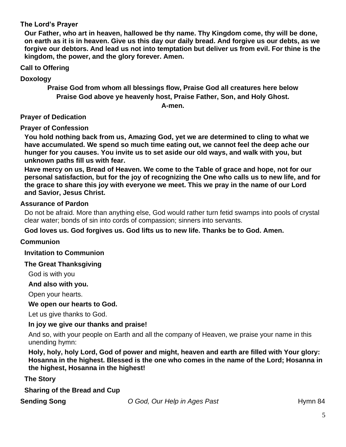# **The Lord's Prayer**

**Our Father, who art in heaven, hallowed be thy name. Thy Kingdom come, thy will be done, on earth as it is in heaven. Give us this day our daily bread. And forgive us our debts, as we forgive our debtors. And lead us not into temptation but deliver us from evil. For thine is the kingdom, the power, and the glory forever. Amen.** 

**Call to Offering** 

**Doxology** 

**Praise God from whom all blessings flow, Praise God all creatures here below Praise God above ye heavenly host, Praise Father, Son, and Holy Ghost.**

**A-men.**

**Prayer of Dedication**

# **Prayer of Confession**

**You hold nothing back from us, Amazing God, yet we are determined to cling to what we have accumulated. We spend so much time eating out, we cannot feel the deep ache our hunger for you causes. You invite us to set aside our old ways, and walk with you, but unknown paths fill us with fear.**

**Have mercy on us, Bread of Heaven. We come to the Table of grace and hope, not for our personal satisfaction, but for the joy of recognizing the One who calls us to new life, and for the grace to share this joy with everyone we meet. This we pray in the name of our Lord and Savior, Jesus Christ.**

### **Assurance of Pardon**

Do not be afraid. More than anything else, God would rather turn fetid swamps into pools of crystal clear water; bonds of sin into cords of compassion; sinners into servants.

# **God loves us. God forgives us. God lifts us to new life. Thanks be to God. Amen.**

# **Communion**

**Invitation to Communion**

### **The Great Thanksgiving**

God is with you

### **And also with you.**

Open your hearts.

# **We open our hearts to God.**

Let us give thanks to God.

### **In joy we give our thanks and praise!**

And so, with your people on Earth and all the company of Heaven, we praise your name in this unending hymn:

**Holy, holy, holy Lord, God of power and might, heaven and earth are filled with Your glory: Hosanna in the highest. Blessed is the one who comes in the name of the Lord; Hosanna in the highest, Hosanna in the highest!** 

**The Story**

**Sharing of the Bread and Cup**

**Sending Song** *O God, Our Help in Ages Past* Hymn 84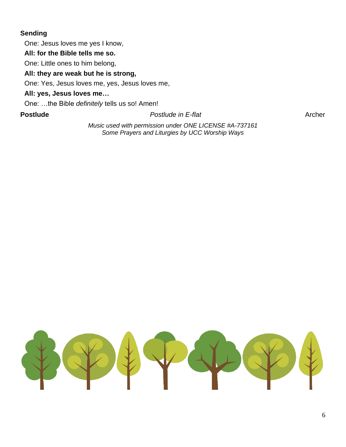# **Sending**

One: Jesus loves me yes I know,

**All: for the Bible tells me so.**

One: Little ones to him belong,

# **All: they are weak but he is strong,**

One: Yes, Jesus loves me, yes, Jesus loves me,

# **All: yes, Jesus loves me…**

One: …the Bible *definitely* tells us so! Amen!

**Postlude** *Postlude <b>Postlude Postlude <i>Postlude <i>Postlude <i>Postlude Archer* 

*Music used with permission under ONE LICENSE #A-737161 Some Prayers and Liturgies by UCC Worship Ways*

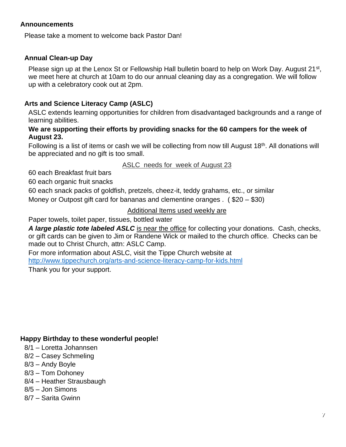# **Announcements**

Please take a moment to welcome back Pastor Dan!

# **Annual Clean-up Day**

Please sign up at the Lenox St or Fellowship Hall bulletin board to help on Work Day. August 21<sup>st</sup>, we meet here at church at 10am to do our annual cleaning day as a congregation. We will follow up with a celebratory cook out at 2pm.

# **Arts and Science Literacy Camp (ASLC)**

ASLC extends learning opportunities for children from disadvantaged backgrounds and a range of learning abilities.

### **We are supporting their efforts by providing snacks for the 60 campers for the week of August 23.**

Following is a list of items or cash we will be collecting from now till August 18<sup>th</sup>. All donations will be appreciated and no gift is too small.

ASLC needs for week of August 23

60 each Breakfast fruit bars

60 each organic fruit snacks

60 each snack packs of goldfish, pretzels, cheez-it, teddy grahams, etc., or similar

Money or Outpost gift card for bananas and clementine oranges . ( \$20 – \$30)

### Additional Items used weekly are

Paper towels, toilet paper, tissues, bottled water

*A large plastic tote labeled ASLC* is near the office for collecting your donations. Cash, checks, or gift cards can be given to Jim or Randene Wick or mailed to the church office. Checks can be made out to Christ Church, attn: ASLC Camp.

For more information about ASLC, visit the Tippe Church website at <http://www.tippechurch.org/arts-and-science-literacy-camp-for-kids.html> Thank you for your support.

# **Happy Birthday to these wonderful people!**

- 8/1 Loretta Johannsen
- 8/2 Casey Schmeling
- 8/3 Andy Boyle
- 8/3 Tom Dohoney
- 8/4 Heather Strausbaugh
- 8/5 Jon Simons
- 8/7 Sarita Gwinn